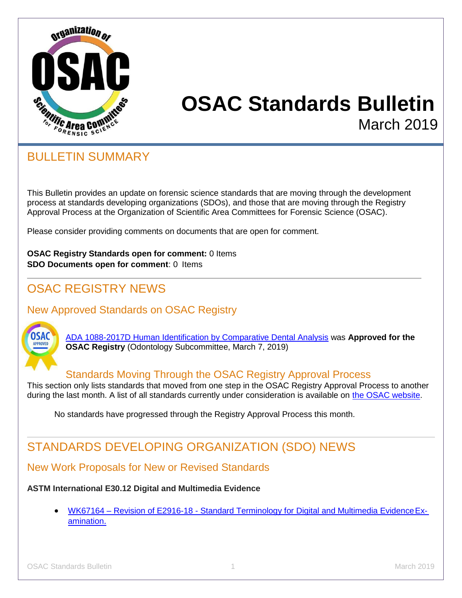

# **OSAC Standards Bulletin** March 2019

## BULLETIN SUMMARY

This Bulletin provides an update on forensic science standards that are moving through the development process at standards developing organizations (SDOs), and those that are moving through the Registry Approval Process at the Organization of Scientific Area Committees for Forensic Science (OSAC).

Please consider providing comments on documents that are open for comment.

**OSAC Registry Standards open for comment:** 0 Items **SDO Documents open for comment**: 0 Items

## OSAC REGISTRY NEWS

## New Approved Standards on OSAC Registry



[ADA 1088-2017D Human Identification by Comparative Dental Analysis](https://ebusiness.ada.org/productcatalog/33352/Informatics/ADA-Technical-Report-No-1088-Human-Identification-by-Compara/ADA1088-2017D) was **Approved for the OSAC Registry** (Odontology Subcommittee, March 7, 2019)

#### Standards Moving Through the OSAC Registry Approval Process

This section only lists standards that moved from one step in the OSAC Registry Approval Process to another during the last month. A list of all standards currently under consideration is available on [the OSAC website.](https://www.nist.gov/topics/forensic-science/osac-registries/status-standards-documents-recommended-inclusion-osac)

No standards have progressed through the Registry Approval Process this month.

# STANDARDS DEVELOPING ORGANIZATION (SDO) NEWS

## New Work Proposals for New or Revised Standards

#### **ASTM International E30.12 Digital and Multimedia Evidence**

• WK67164 – Revision of E2916-18 - [Standard Terminology for Digital and Multimedia EvidenceEx](https://na01.safelinks.protection.outlook.com/?url=http%3A%2F%2Fwww.astm.org%2FDATABASE.CART%2FWORKITEMS%2FWK67164.htm%3FA%26utm_source%3Dtracker%26utm_campaign%3D20190218%26utm_medium%3Demail%26utm_content%3Dstandards&data=02%7C01%7Ckaren.reczek%40nist.gov%7C24d104b8bde4421bde6008d695ffaafd%7C2ab5d82fd8fa4797a93e054655c61dec%7C1%7C0%7C636861322649352164&sdata=bQxhDnJiYzna%2FStRbWFCP7io0yCWIBS%2B9CTTZM2hUM8%3D&reserved=0)[amination](https://na01.safelinks.protection.outlook.com/?url=http%3A%2F%2Fwww.astm.org%2FDATABASE.CART%2FWORKITEMS%2FWK67164.htm%3FA%26utm_source%3Dtracker%26utm_campaign%3D20190218%26utm_medium%3Demail%26utm_content%3Dstandards&data=02%7C01%7Ckaren.reczek%40nist.gov%7C24d104b8bde4421bde6008d695ffaafd%7C2ab5d82fd8fa4797a93e054655c61dec%7C1%7C0%7C636861322649352164&sdata=bQxhDnJiYzna%2FStRbWFCP7io0yCWIBS%2B9CTTZM2hUM8%3D&reserved=0).